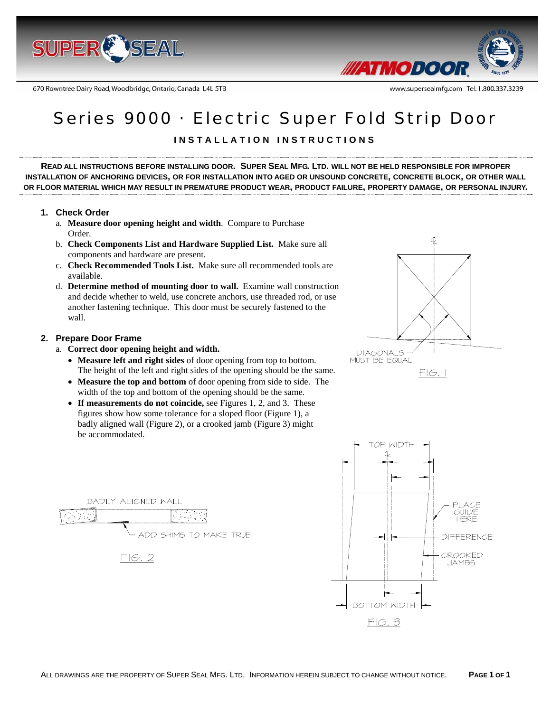

670 Rowntree Dairy Road, Woodbridge, Ontario, Canada L4L 5TB



# Series 9000 · Electric Super Fold Strip Door

# **INSTALLATION INSTRUCTIONS**

**READ ALL INSTRUCTIONS BEFORE INSTALLING DOOR. SUPER SEAL MFG. LTD. WILL NOT BE HELD RESPONSIBLE FOR IMPROPER INSTALLATION OF ANCHORING DEVICES, OR FOR INSTALLATION INTO AGED OR UNSOUND CONCRETE, CONCRETE BLOCK, OR OTHER WALL** OR FLOOR MATERIAL WHICH MAY RESULT IN PREMATURE PRODUCT WEAR, PRODUCT FAILURE, PROPERTY DAMAGE, OR PERSONAL INJURY.

#### **1. Check Order**

- a. **Measure door opening height and width**. Compare to Purchase Order.
- b. **Check Components List and Hardware Supplied List.** Make sure all components and hardware are present.
- c. **Check Recommended Tools List.** Make sure all recommended tools are available.
- d. **Determine method of mounting door to wall.** Examine wall construction and decide whether to weld, use concrete anchors, use threaded rod, or use another fastening technique. This door must be securely fastened to the wall.

#### **2. Prepare Door Frame**

- a. **Correct door opening height and width.**
	- **Measure left and right sides** of door opening from top to bottom. The height of the left and right sides of the opening should be the same.
	- **Measure the top and bottom** of door opening from side to side. The width of the top and bottom of the opening should be the same.
	- **If measurements do not coincide,** see Figures 1, 2, and 3. These figures show how some tolerance for a sloped floor (Figure 1), a badly aligned wall (Figure 2), or a crooked jamb (Figure 3) might be accommodated.





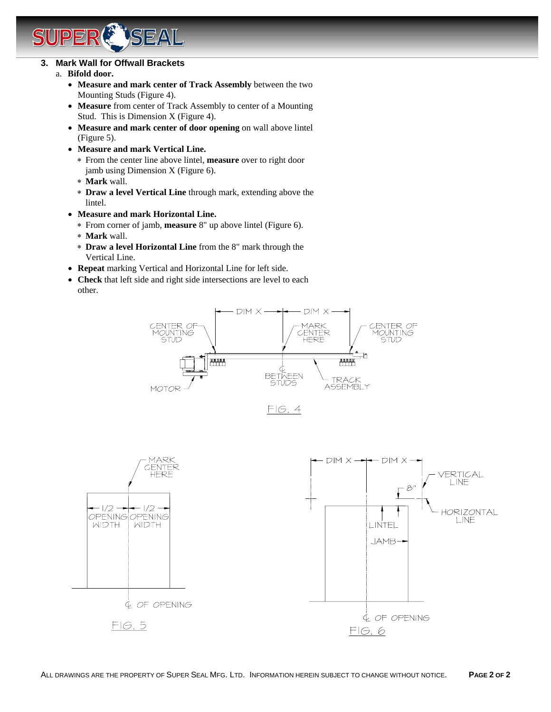# **3. Mark Wall for Offwall Brackets**

# a. **Bifold door.**

- **Measure and mark center of Track Assembly** between the two Mounting Studs (Figure 4).
- **Measure** from center of Track Assembly to center of a Mounting Stud. This is Dimension X (Figure 4).
- **Measure and mark center of door opening** on wall above lintel (Figure 5).
- **Measure and mark Vertical Line.**

SEAL

- ∗ From the center line above lintel, **measure** over to right door jamb using Dimension X (Figure 6).
- ∗ **Mark** wall.
- ∗ **Draw a level Vertical Line** through mark, extending above the lintel.
- **Measure and mark Horizontal Line.** 
	- ∗ From corner of jamb, **measure** 8" up above lintel (Figure 6).
	- ∗ **Mark** wall.
	- ∗ **Draw a level Horizontal Line** from the 8" mark through the Vertical Line.
- **Repeat** marking Vertical and Horizontal Line for left side.
- **Check** that left side and right side intersections are level to each other.





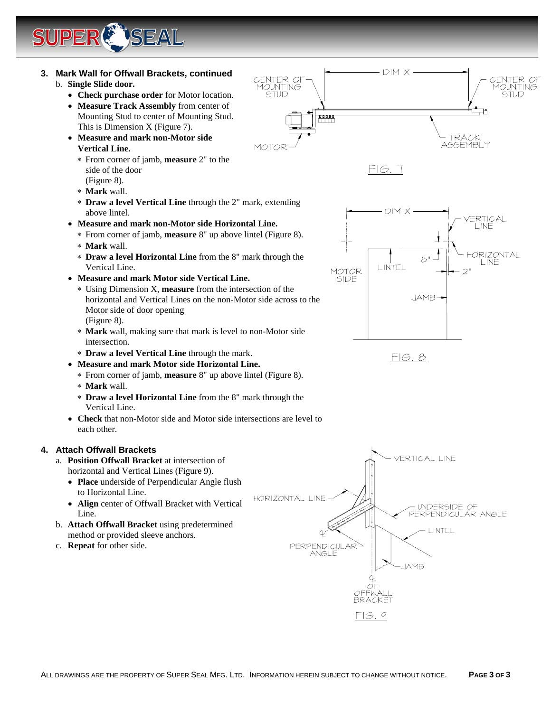

• **Place** underside of Perpendicular Angle flush to Horizontal Line.

**LSEAL** 

- **Align** center of Offwall Bracket with Vertical Line.
- b. **Attach Offwall Bracket** using predetermined method or provided sleeve anchors.
- c. **Repeat** for other side.

HORIZONTAL LINE

**PERPENDICULAR** ĀNGLE

UNDERSIDE OF PERPENDICULAR ANGLE

LINTEL

**IAMB** 

 $FIG.9$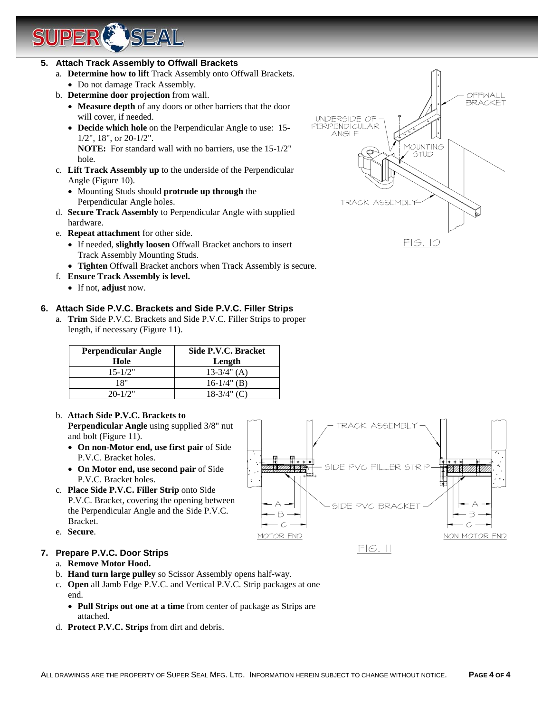# **5. Attach Track Assembly to Offwall Brackets**

JPER

**A ISEAL** 

- a. **Determine how to lift** Track Assembly onto Offwall Brackets.
- Do not damage Track Assembly. b. **Determine door projection** from wall.
	- **Measure depth** of any doors or other barriers that the door will cover, if needed.
	- **Decide which hole** on the Perpendicular Angle to use: 15- 1/2", 18", or 20-1/2".

**NOTE:** For standard wall with no barriers, use the 15-1/2" hole.

- c. **Lift Track Assembly up** to the underside of the Perpendicular Angle (Figure 10).
	- Mounting Studs should **protrude up through** the Perpendicular Angle holes.
- d. **Secure Track Assembly** to Perpendicular Angle with supplied hardware.
- e. **Repeat attachment** for other side.
	- If needed, **slightly loosen** Offwall Bracket anchors to insert Track Assembly Mounting Studs.
	- **Tighten** Offwall Bracket anchors when Track Assembly is secure.
- f. **Ensure Track Assembly is level.**
	- If not, **adjust** now.

# **6. Attach Side P.V.C. Brackets and Side P.V.C. Filler Strips**

a. **Trim** Side P.V.C. Brackets and Side P.V.C. Filler Strips to proper length, if necessary (Figure 11).

| Perpendicular Angle<br>Hole | Side P.V.C. Bracket<br>Length |
|-----------------------------|-------------------------------|
| $15 - 1/2"$                 | $13-3/4$ " (A)                |
| 18"                         | $16-1/4$ " (B)                |
| $20 - 1/2"$                 | $18-3/4$ " (C)                |

# b. **Attach Side P.V.C. Brackets to**

**Perpendicular Angle** using supplied 3/8" nut and bolt (Figure 11).

- **On non-Motor end, use first pair** of Side P.V.C. Bracket holes.
- **On Motor end, use second pair** of Side P.V.C. Bracket holes.
- c. **Place Side P.V.C. Filler Strip** onto Side P.V.C. Bracket, covering the opening between the Perpendicular Angle and the Side P.V.C. Bracket.
- e. **Secure**.

# **7. Prepare P.V.C. Door Strips**

- a. **Remove Motor Hood.**
- b. **Hand turn large pulley** so Scissor Assembly opens half-way.
- c. **Open** all Jamb Edge P.V.C. and Vertical P.V.C. Strip packages at one end.
	- **Pull Strips out one at a time** from center of package as Strips are attached.
- d. **Protect P.V.C. Strips** from dirt and debris.



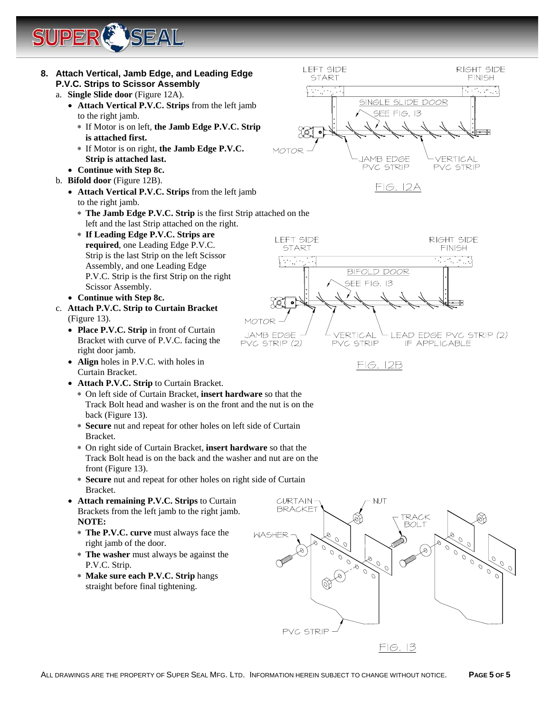



 $FIG.$  13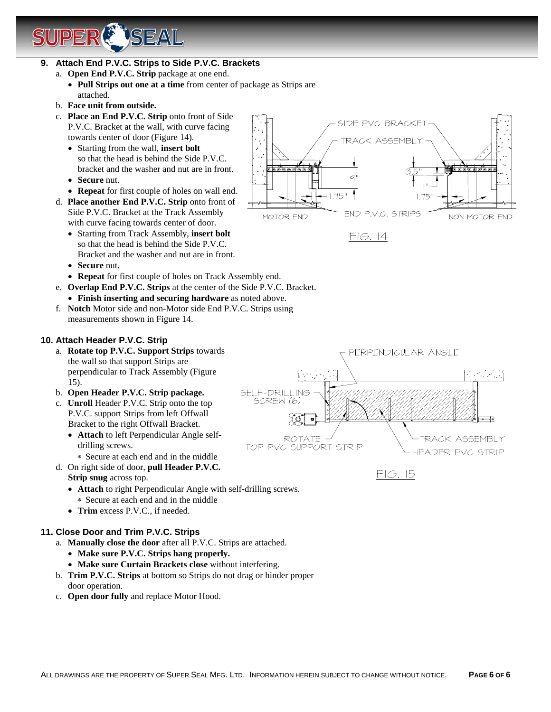# **LSEAL**

### **9. Attach End P.V.C. Strips to Side P.V.C. Brackets**

- a. **Open End P.V.C. Strip** package at one end.
	- **Pull Strips out one at a time** from center of package as Strips are attached.
- b. **Face unit from outside.**
- c. **Place an End P.V.C. Strip** onto front of Side P.V.C. Bracket at the wall, with curve facing towards center of door (Figure 14).
	- Starting from the wall, **insert bolt**  so that the head is behind the Side P.V.C. bracket and the washer and nut are in front.
	- **Secure** nut.
	- **Repeat** for first couple of holes on wall end.
- d. **Place another End P.V.C. Strip** onto front of Side P.V.C. Bracket at the Track Assembly with curve facing towards center of door.
	- Starting from Track Assembly, **insert bolt** so that the head is behind the Side P.V.C. Bracket and the washer and nut are in front.
	- **Secure** nut.
	- **Repeat** for first couple of holes on Track Assembly end.
- e. **Overlap End P.V.C. Strips** at the center of the Side P.V.C. Bracket.
	- **Finish inserting and securing hardware** as noted above.
- f. **Notch** Motor side and non-Motor side End P.V.C. Strips using measurements shown in Figure 14.

### **10. Attach Header P.V.C. Strip**

- a. **Rotate top P.V.C. Support Strips** towards the wall so that support Strips are perpendicular to Track Assembly (Figure 15).
- b. **Open Header P.V.C. Strip package.**
- c. **Unroll** Header P.V.C. Strip onto the top P.V.C. support Strips from left Offwall Bracket to the right Offwall Bracket.
	- **Attach** to left Perpendicular Angle selfdrilling screws.
		- ∗ Secure at each end and in the middle
- d. On right side of door, **pull Header P.V.C.** 
	- **Strip snug** across top.
	- **Attach** to right Perpendicular Angle with self-drilling screws. ∗ Secure at each end and in the middle
	- **Trim** excess P.V.C., if needed.

### **11. Close Door and Trim P.V.C. Strips**

- a. **Manually close the door** after all P.V.C. Strips are attached.
	- **Make sure P.V.C. Strips hang properly.**
	- **Make sure Curtain Brackets close** without interfering.
- b. **Trim P.V.C. Strips** at bottom so Strips do not drag or hinder proper door operation.
- c. **Open door fully** and replace Motor Hood.



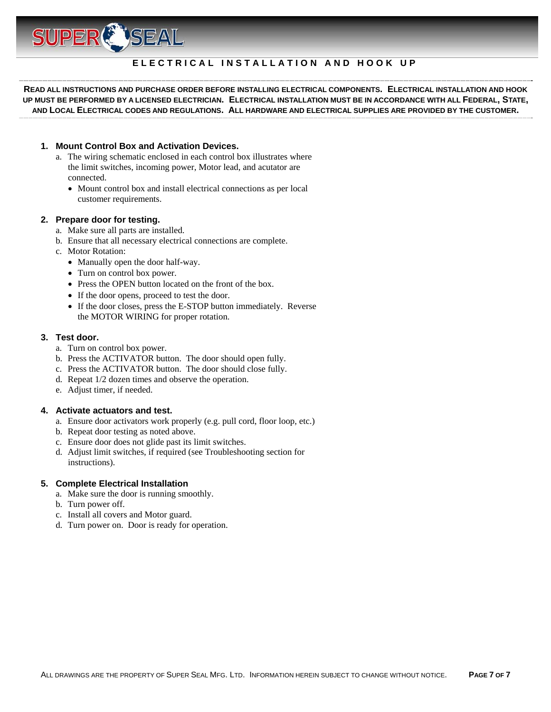

### **ELECTRICAL INSTALLATION AND HOOK UP**

**READ ALL INSTRUCTIONS AND PURCHASE ORDER BEFORE INSTALLING ELECTRICAL COMPONENTS. ELECTRICAL INSTALLATION AND HOOK UP MUST BE PERFORMED BY A LICENSED ELECTRICIAN. ELECTRICAL INSTALLATION MUST BE IN ACCORDANCE WITH ALL FEDERAL, STATE, AND LOCAL ELECTRICAL CODES AND REGULATIONS. ALL HARDWARE AND ELECTRICAL SUPPLIES ARE PROVIDED BY THE CUSTOMER.** 

#### **1. Mount Control Box and Activation Devices.**

- a. The wiring schematic enclosed in each control box illustrates where the limit switches, incoming power, Motor lead, and acutator are connected.
	- Mount control box and install electrical connections as per local customer requirements.

#### **2. Prepare door for testing.**

- a. Make sure all parts are installed.
- b. Ensure that all necessary electrical connections are complete.
- c. Motor Rotation:
	- Manually open the door half-way.
	- Turn on control box power.
	- Press the OPEN button located on the front of the box.
	- If the door opens, proceed to test the door.
	- If the door closes, press the E-STOP button immediately. Reverse the MOTOR WIRING for proper rotation.

#### **3. Test door.**

- a. Turn on control box power.
- b. Press the ACTIVATOR button. The door should open fully.
- c. Press the ACTIVATOR button. The door should close fully.
- d. Repeat 1/2 dozen times and observe the operation.
- e. Adjust timer, if needed.

#### **4. Activate actuators and test.**

- a. Ensure door activators work properly (e.g. pull cord, floor loop, etc.)
- b. Repeat door testing as noted above.
- c. Ensure door does not glide past its limit switches.
- d. Adjust limit switches, if required (see Troubleshooting section for instructions).

#### **5. Complete Electrical Installation**

- a. Make sure the door is running smoothly.
- b. Turn power off.
- c. Install all covers and Motor guard.
- d. Turn power on. Door is ready for operation.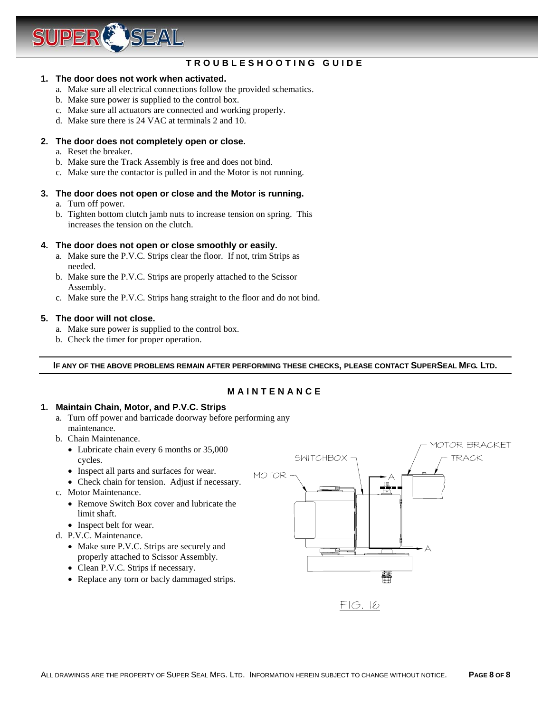

# **TROUBLESHOOTING GUIDE**

#### **1. The door does not work when activated.**

- a. Make sure all electrical connections follow the provided schematics.
- b. Make sure power is supplied to the control box.
- c. Make sure all actuators are connected and working properly.
- d. Make sure there is 24 VAC at terminals 2 and 10.

#### **2. The door does not completely open or close.**

- a. Reset the breaker.
- b. Make sure the Track Assembly is free and does not bind.
- c. Make sure the contactor is pulled in and the Motor is not running.

#### **3. The door does not open or close and the Motor is running.**

- a. Turn off power.
- b. Tighten bottom clutch jamb nuts to increase tension on spring. This increases the tension on the clutch.

#### **4. The door does not open or close smoothly or easily.**

- a. Make sure the P.V.C. Strips clear the floor. If not, trim Strips as needed.
- b. Make sure the P.V.C. Strips are properly attached to the Scissor Assembly.
- c. Make sure the P.V.C. Strips hang straight to the floor and do not bind.

#### **5. The door will not close.**

- a. Make sure power is supplied to the control box.
- b. Check the timer for proper operation.

**IF ANY OF THE ABOVE PROBLEMS REMAIN AFTER PERFORMING THESE CHECKS, PLEASE CONTACT SUPERSEAL MFG. LTD.** 

#### **MAINTENANCE**

#### **1. Maintain Chain, Motor, and P.V.C. Strips**

- a. Turn off power and barricade doorway before performing any maintenance.
- b. Chain Maintenance.
	- Lubricate chain every 6 months or 35,000 cycles.
	- Inspect all parts and surfaces for wear.
	- Check chain for tension. Adjust if necessary.
- c. Motor Maintenance.
	- Remove Switch Box cover and lubricate the limit shaft.
	- Inspect belt for wear.
- d. P.V.C. Maintenance.
	- Make sure P.V.C. Strips are securely and properly attached to Scissor Assembly.
	- Clean P.V.C. Strips if necessary.
	- Replace any torn or bacly dammaged strips.



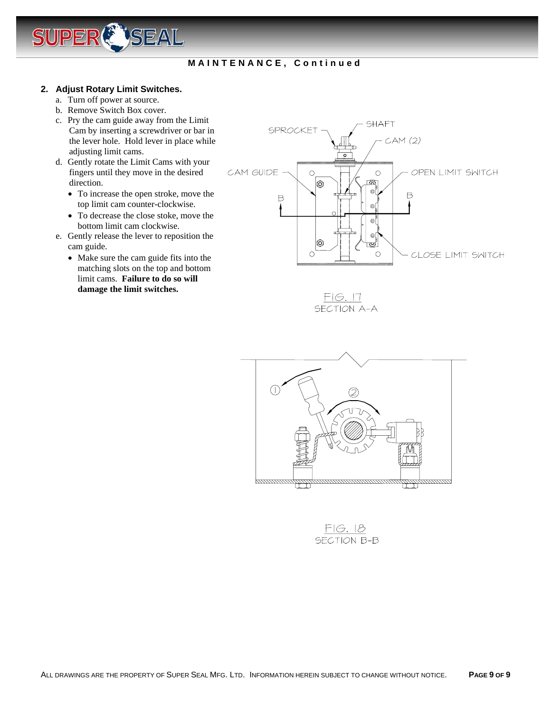

# **MAINTENANCE, Continued**

#### **2. Adjust Rotary Limit Switches.**

- a. Turn off power at source.
- b. Remove Switch Box cover.
- c. Pry the cam guide away from the Limit Cam by inserting a screwdriver or bar in the lever hole. Hold lever in place while adjusting limit cams.
- d. Gently rotate the Limit Cams with your fingers until they move in the desired direction.
	- To increase the open stroke, move the top limit cam counter-clockwise.
	- To decrease the close stoke, move the bottom limit cam clockwise.
- e. Gently release the lever to reposition the cam guide.
	- Make sure the cam guide fits into the matching slots on the top and bottom limit cams. **Failure to do so will damage the limit switches.**



 $FIG. 17$ SECTION A-A



 $FIG.18$ SECTION B-B